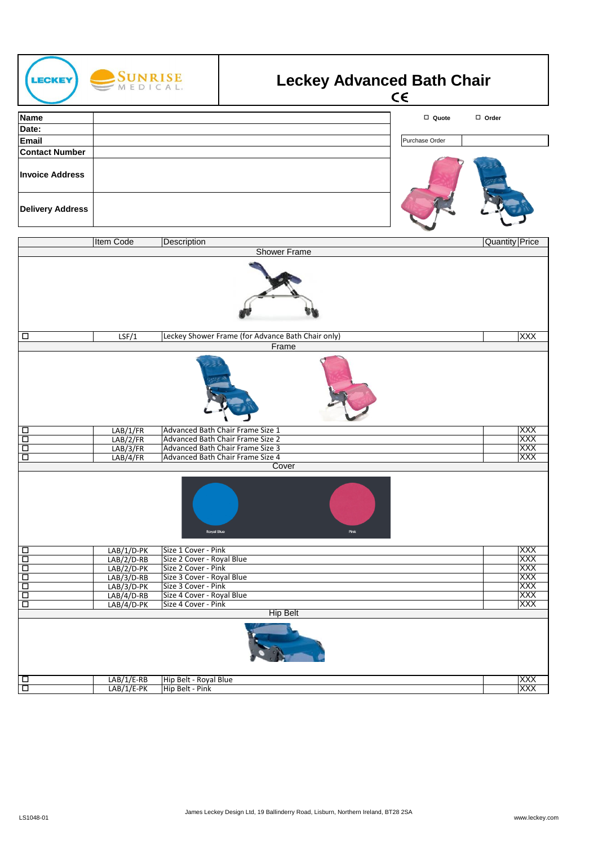| ECKEY                   | SUNRISE                    |                                                                      |                                                            | <b>Leckey Advanced Bath Chair</b> | C€             |                |
|-------------------------|----------------------------|----------------------------------------------------------------------|------------------------------------------------------------|-----------------------------------|----------------|----------------|
| <b>Name</b>             |                            |                                                                      |                                                            |                                   | □ Quote        | $\Box$ Order   |
| Date:                   |                            |                                                                      |                                                            |                                   |                |                |
| <b>Email</b>            |                            |                                                                      |                                                            |                                   | Purchase Order |                |
| <b>Contact Number</b>   |                            |                                                                      |                                                            |                                   |                |                |
| <b>Invoice Address</b>  |                            |                                                                      |                                                            |                                   |                |                |
| <b>Delivery Address</b> |                            |                                                                      |                                                            |                                   |                |                |
|                         | <b>Item Code</b>           | Description                                                          |                                                            |                                   |                | Quantity Price |
|                         |                            |                                                                      | <b>Shower Frame</b>                                        |                                   |                |                |
|                         |                            |                                                                      |                                                            |                                   |                |                |
| □                       | LSF/1                      |                                                                      | Leckey Shower Frame (for Advance Bath Chair only)<br>Frame |                                   |                | <b>XXX</b>     |
|                         |                            |                                                                      |                                                            |                                   |                |                |
| O<br>$\Box$             | LAB/1/FR                   |                                                                      | Advanced Bath Chair Frame Size 1                           |                                   |                | XXX            |
| Ō                       | LAB/2/FR<br>LAB/3/FR       |                                                                      | Advanced Bath Chair Frame Size 2                           |                                   |                | XXX<br>XXX     |
| 靣                       | LAB/4/FR                   | Advanced Bath Chair Frame Size 3<br>Advanced Bath Chair Frame Size 4 |                                                            |                                   |                | XXX            |
|                         |                            |                                                                      | Cover                                                      |                                   |                |                |
|                         |                            | <b>Royal Blue</b>                                                    |                                                            | Pink                              |                |                |
| oo                      | $LAB/1/D-PK$               | Size 1 Cover - Pink                                                  |                                                            |                                   |                | XXX            |
|                         | $LAB/2/D-RB$<br>LAB/2/D-PK | Size 2 Cover - Royal Blue<br>Size 2 Cover - Pink                     |                                                            |                                   |                | XXX<br>XXX     |
|                         | $LAB/3/D-RB$               | Size 3 Cover - Royal Blue                                            |                                                            |                                   |                | XXX            |
| 미미미                     | LAB/3/D-PK                 | Size 3 Cover - Pink                                                  |                                                            |                                   |                | XXX<br>XXX     |
|                         | $LAB/4/D-RB$               | Size 4 Cover - Royal Blue<br>Size 4 Cover - Pink                     |                                                            |                                   |                |                |
| p                       | LAB/4/D-PK                 |                                                                      | <b>Hip Belt</b>                                            |                                   |                | XXX            |
|                         |                            |                                                                      |                                                            |                                   |                |                |
| $\Box$<br>þ             | $LAB/1/E-RB$               | Hip Belt - Royal Blue<br>Hip Belt - Pink                             |                                                            |                                   |                | XXX<br>XXX     |
|                         | $LAB/1/E-PK$               |                                                                      |                                                            |                                   |                |                |